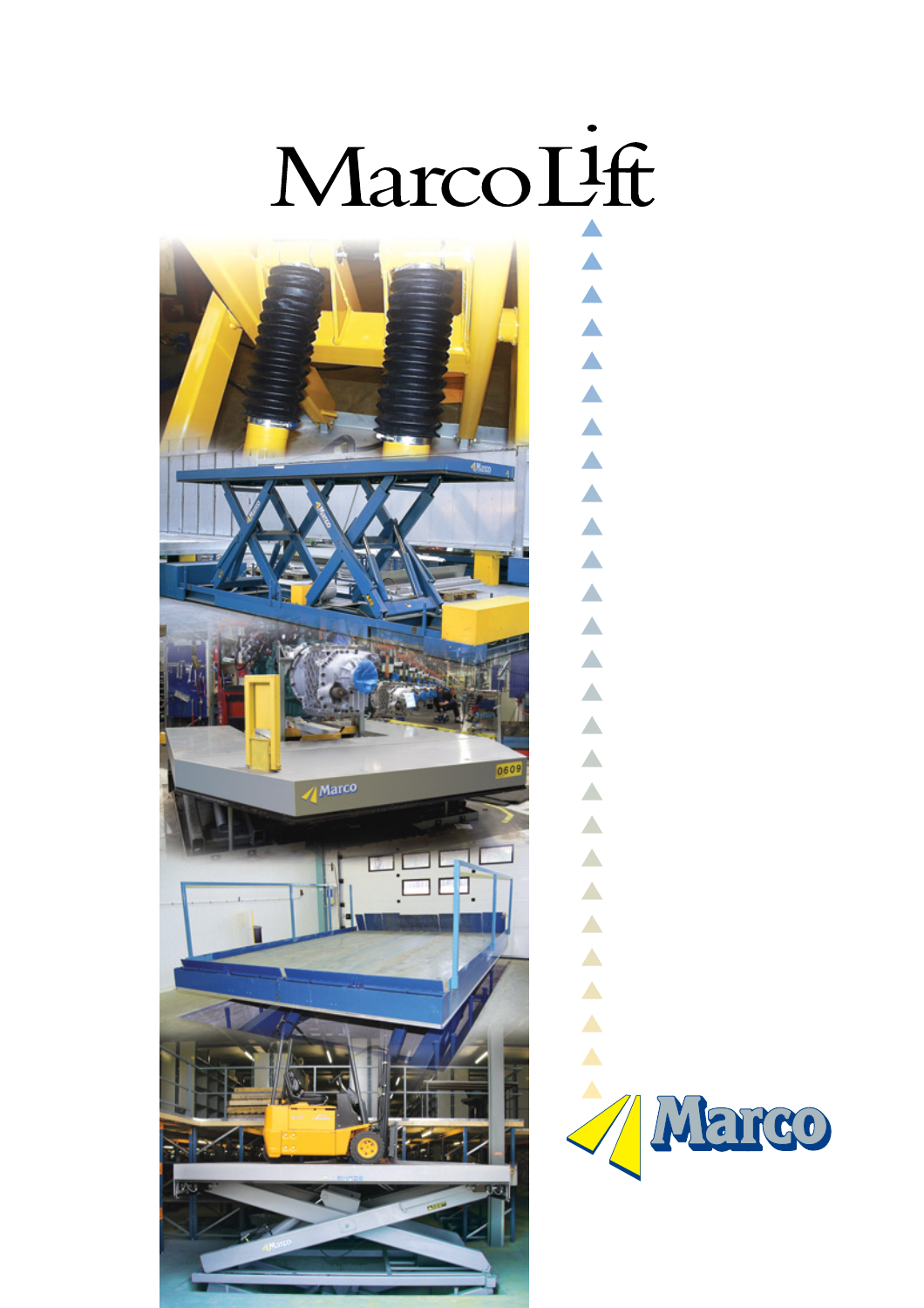

 $\blacktriangle$ 

 $\blacktriangle$ 

 $\blacktriangle$ 

 $\blacktriangle$ 

 $\blacktriangle$ 

 $\blacktriangle$ 

 $\blacktriangle$ 

 $\blacktriangle$ 

 $\blacktriangle$ 

 $\blacktriangle$ 

 $\blacktriangle$ 



 $\blacktriangle$  $\blacktriangle$  $\blacktriangle$  $\blacktriangle$  $\blacktriangle$  $\blacktriangle$  $\blacktriangle$  $\blacktriangle$  $\blacktriangle$  $\blacktriangle$  $\blacktriangle$ Antarco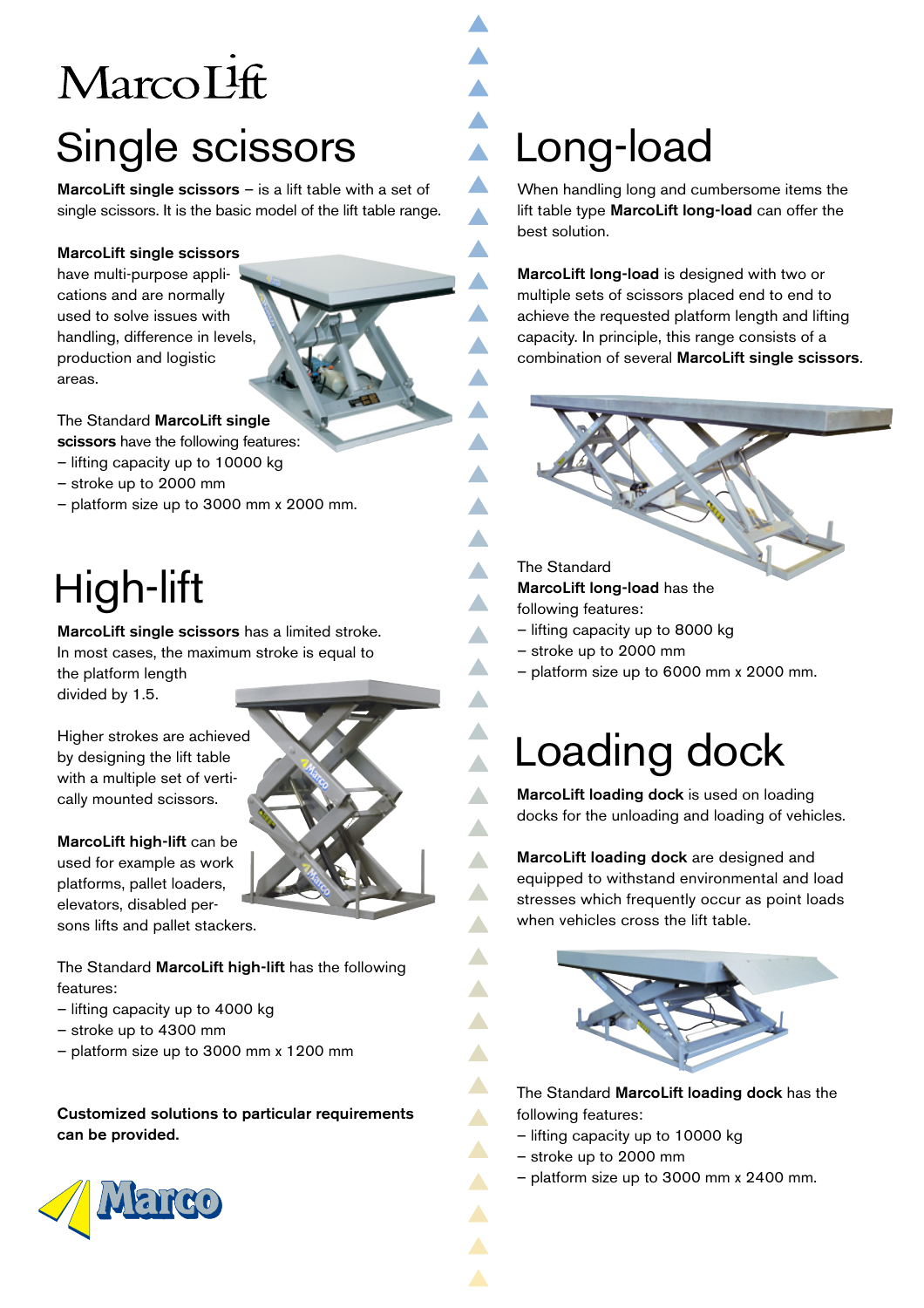# Marco<sub>L</sub>Ift Single scissors

**MarcoLift single scissors**  $-$  is a lift table with a set of single scissors. It is the basic model of the lift table range.

#### MarcoLift single scissors

have multi-purpose applications and are normally used to solve issues with handling, difference in levels, production and logistic areas.



scissors have the following features:

- lifting capacity up to 10000 kg
- stroke up to 2000 mm
- platform size up to 3000 mm x 2000 mm.

# High-lift

MarcoLift single scissors has a limited stroke. In most cases, the maximum stroke is equal to the platform length divided by 1.5.

Higher strokes are achieved by designing the lift table with a multiple set of vertically mounted scissors.

MarcoLift high-lift can be used for example as work platforms, pallet loaders, elevators, disabled persons lifts and pallet stackers.

The Standard MarcoLift high-lift has the following features:

- lifting capacity up to 4000 kg
- stroke up to 4300 mm
- platform size up to 3000 mm x 1200 mm

Customized solutions to particular requirements can be provided.



# Long-load

 $\blacktriangle$ 

 $\blacktriangle$ 

 $\blacktriangle$ 

 $\blacktriangle$ 

 $\blacktriangle$ 

 $\blacktriangle$ 

 $\blacktriangle$ 

 $\blacktriangle$ 

 $\blacktriangle$ 

 $\blacktriangle$ ▲

 $\blacktriangle$ 

 $\blacktriangle$ 

 $\blacktriangle$  $\blacktriangle$ 

 $\blacktriangle$  .  $\blacktriangle$ 

▲

When handling long and cumbersome items the lift table type MarcoLift long-load can offer the best solution.

MarcoLift long-load is designed with two or multiple sets of scissors placed end to end to achieve the requested platform length and lifting capacity. In principle, this range consists of a combination of several MarcoLift single scissors.

#### The Standard MarcoLift long-load has the

- following features:
- lifting capacity up to 8000 kg
- stroke up to 2000 mm
- platform size up to 6000 mm x 2000 mm.

## Loading dock

MarcoLift loading dock is used on loading docks for the unloading and loading of vehicles.

MarcoLift loading dock are designed and equipped to withstand environmental and load stresses which frequently occur as point loads when vehicles cross the lift table.



The Standard MarcoLift loading dock has the following features:

- lifting capacity up to 10000 kg
- stroke up to 2000 mm
- platform size up to 3000 mm x 2400 mm.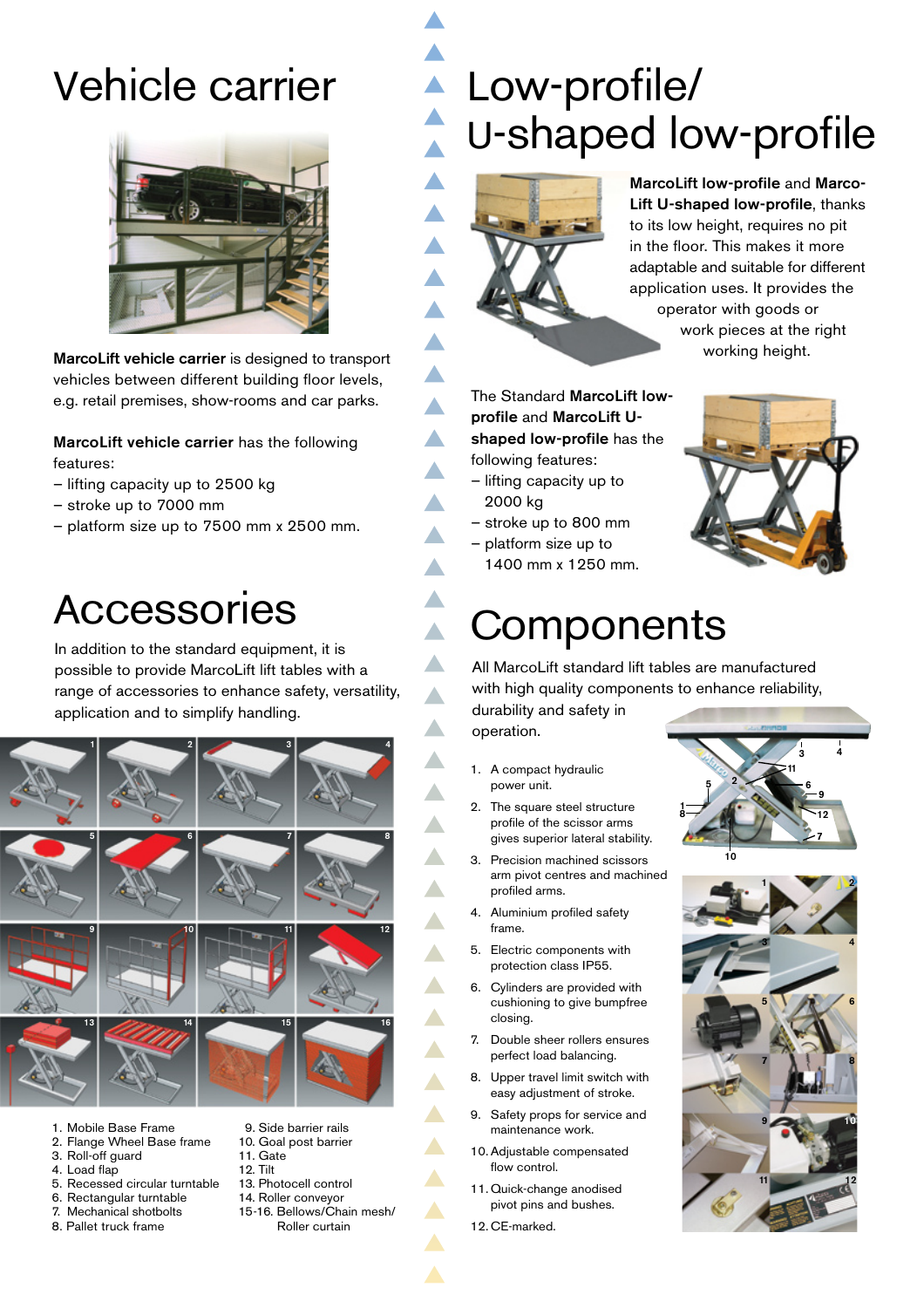## Vehicle carrier



MarcoLift vehicle carrier is designed to transport vehicles between different building floor levels, e.g. retail premises, show-rooms and car parks.

MarcoLift vehicle carrier has the following features:

- lifting capacity up to 2500 kg
- stroke up to 7000 mm
- platform size up to 7500 mm x 2500 mm.

#### Accessories

In addition to the standard equipment, it is possible to provide MarcoLift lift tables with a range of accessories to enhance safety, versatility, application and to simplify handling.



- 1. Mobile Base Frame
- 2. Flange Wheel Base frame
- 3. Roll-off guard 4. Load flap
- 
- 5. Recessed circular turntable
- 6. Rectangular turntable<br>7. Mechanical shotbolts Mechanical shotbolts
- 8. Pallet truck frame
- 9. Side barrier rails
- 10. Goal post barrier
- 11. Gate
- 12. Tilt
- 13. Photocell control 14. Roller conveyor
- 15-16. Bellows/Chain mesh/
- Roller curtain

### **Low-profile/** U-shaped low-profile



 $\blacktriangle$  $\blacktriangle$  $\blacktriangle$ 

 $\blacktriangle$  $\blacktriangle$ 

 $\blacktriangle$ 

 $\blacktriangle$ 

 $\blacktriangle$ 

 $\blacktriangle$ 

 $\blacktriangle$ 

 $\blacktriangle$  $\blacktriangle$ 

 $\blacktriangle$  $\blacktriangle$ 

 $\blacktriangle$ 

 $\blacktriangle$ 

 $\blacktriangle$ 

 $\blacktriangle$ 

 $\blacktriangle$ 

 $\blacktriangle$ 

Δ

 $\blacktriangle$ 

 $\blacktriangle$ 

 $\blacktriangle$ 

 $\blacktriangle$ 

 $\blacktriangle$ 

 $\blacktriangle$ 

 $\blacktriangle$ 

 $\blacktriangle$ 

 $\blacktriangle$ 

MarcoLift low-profile and Marco-Lift U-shaped low-profile, thanks to its low height, requires no pit in the floor. This makes it more adaptable and suitable for different application uses. It provides the operator with goods or work pieces at the right working height.

The Standard MarcoLift lowprofile and MarcoLift Ushaped low-profile has the following features:

- lifting capacity up to 2000 kg
- stroke up to 800 mm
- platform size up to 1400 mm x 1250 mm.



#### **Components**

All MarcoLift standard lift tables are manufactured with high quality components to enhance reliability,

durability and safety in operation.

- 1. A compact hydraulic power unit.
- 2. The square steel structure profile of the scissor arms gives superior lateral stability.
- 3. Precision machined scissors arm pivot centres and machined profiled arms.
- 4. Aluminium profiled safety frame.
- 5. Electric components with protection class IP55.
- 6. Cylinders are provided with cushioning to give bumpfree closing.
- 7. Double sheer rollers ensures perfect load balancing.
- 8. Upper travel limit switch with easy adjustment of stroke.
- 9. Safety props for service and maintenance work.
- 10.Adjustable compensated flow control.
- 11. Quick-change anodised pivot pins and bushes.
- 12. CE-marked.